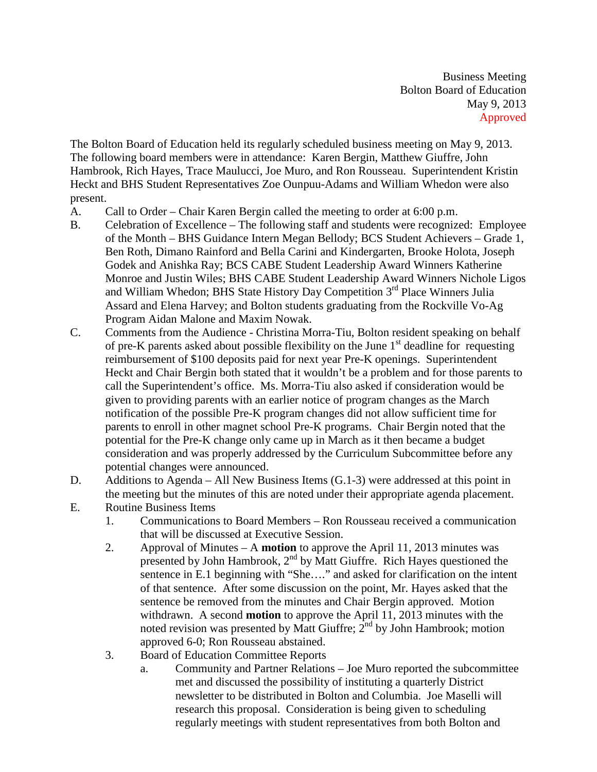Business Meeting Bolton Board of Education May 9, 2013 Approved

The Bolton Board of Education held its regularly scheduled business meeting on May 9, 2013. The following board members were in attendance: Karen Bergin, Matthew Giuffre, John Hambrook, Rich Hayes, Trace Maulucci, Joe Muro, and Ron Rousseau. Superintendent Kristin Heckt and BHS Student Representatives Zoe Ounpuu-Adams and William Whedon were also present.

- A. Call to Order Chair Karen Bergin called the meeting to order at 6:00 p.m.
- B. Celebration of Excellence The following staff and students were recognized: Employee of the Month – BHS Guidance Intern Megan Bellody; BCS Student Achievers – Grade 1, Ben Roth, Dimano Rainford and Bella Carini and Kindergarten, Brooke Holota, Joseph Godek and Anishka Ray; BCS CABE Student Leadership Award Winners Katherine Monroe and Justin Wiles; BHS CABE Student Leadership Award Winners Nichole Ligos and William Whedon; BHS State History Day Competition 3rd Place Winners Julia Assard and Elena Harvey; and Bolton students graduating from the Rockville Vo-Ag Program Aidan Malone and Maxim Nowak.
- C. Comments from the Audience Christina Morra-Tiu, Bolton resident speaking on behalf of pre-K parents asked about possible flexibility on the June  $1<sup>st</sup>$  deadline for requesting reimbursement of \$100 deposits paid for next year Pre-K openings. Superintendent Heckt and Chair Bergin both stated that it wouldn't be a problem and for those parents to call the Superintendent's office. Ms. Morra-Tiu also asked if consideration would be given to providing parents with an earlier notice of program changes as the March notification of the possible Pre-K program changes did not allow sufficient time for parents to enroll in other magnet school Pre-K programs. Chair Bergin noted that the potential for the Pre-K change only came up in March as it then became a budget consideration and was properly addressed by the Curriculum Subcommittee before any potential changes were announced.
- D. Additions to Agenda All New Business Items (G.1-3) were addressed at this point in the meeting but the minutes of this are noted under their appropriate agenda placement.
- E. Routine Business Items
	- 1. Communications to Board Members Ron Rousseau received a communication that will be discussed at Executive Session.
	- 2. Approval of Minutes A **motion** to approve the April 11, 2013 minutes was presented by John Hambrook, 2nd by Matt Giuffre. Rich Hayes questioned the sentence in E.1 beginning with "She...." and asked for clarification on the intent of that sentence. After some discussion on the point, Mr. Hayes asked that the sentence be removed from the minutes and Chair Bergin approved. Motion withdrawn. A second **motion** to approve the April 11, 2013 minutes with the noted revision was presented by Matt Giuffre;  $2^{nd}$  by John Hambrook; motion approved 6-0; Ron Rousseau abstained.
	- 3. Board of Education Committee Reports
		- a. Community and Partner Relations Joe Muro reported the subcommittee met and discussed the possibility of instituting a quarterly District newsletter to be distributed in Bolton and Columbia. Joe Maselli will research this proposal. Consideration is being given to scheduling regularly meetings with student representatives from both Bolton and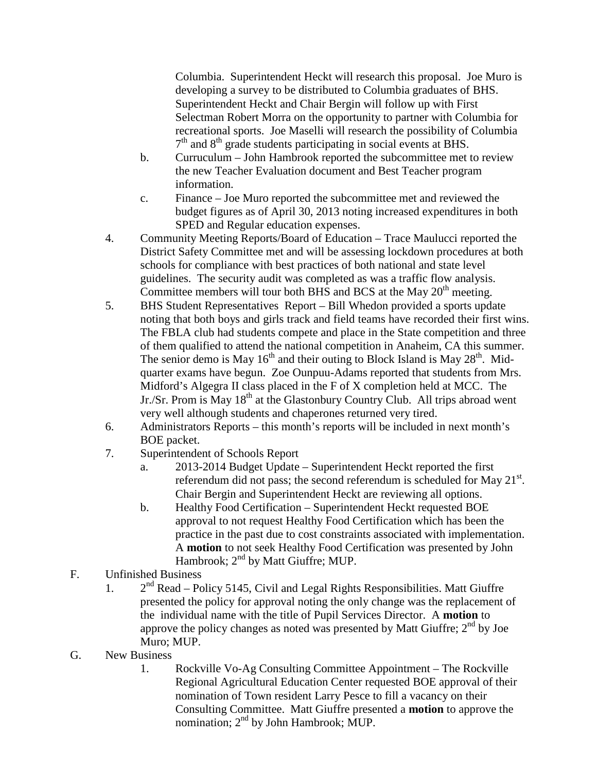Columbia. Superintendent Heckt will research this proposal. Joe Muro is developing a survey to be distributed to Columbia graduates of BHS. Superintendent Heckt and Chair Bergin will follow up with First Selectman Robert Morra on the opportunity to partner with Columbia for recreational sports. Joe Maselli will research the possibility of Columbia  $7<sup>th</sup>$  and  $8<sup>th</sup>$  grade students participating in social events at BHS.

- b. Curruculum John Hambrook reported the subcommittee met to review the new Teacher Evaluation document and Best Teacher program information.
- c. Finance Joe Muro reported the subcommittee met and reviewed the budget figures as of April 30, 2013 noting increased expenditures in both SPED and Regular education expenses.
- 4. Community Meeting Reports/Board of Education Trace Maulucci reported the District Safety Committee met and will be assessing lockdown procedures at both schools for compliance with best practices of both national and state level guidelines. The security audit was completed as was a traffic flow analysis. Committee members will tour both BHS and BCS at the May  $20<sup>th</sup>$  meeting.
- 5. BHS Student Representatives Report Bill Whedon provided a sports update noting that both boys and girls track and field teams have recorded their first wins. The FBLA club had students compete and place in the State competition and three of them qualified to attend the national competition in Anaheim, CA this summer. The senior demo is May  $16<sup>th</sup>$  and their outing to Block Island is May  $28<sup>th</sup>$ . Midquarter exams have begun. Zoe Ounpuu-Adams reported that students from Mrs. Midford's Algegra II class placed in the F of X completion held at MCC. The Jr./Sr. Prom is May  $18<sup>th</sup>$  at the Glastonbury Country Club. All trips abroad went very well although students and chaperones returned very tired.
- 6. Administrators Reports this month's reports will be included in next month's BOE packet.
- 7. Superintendent of Schools Report
	- a. 2013-2014 Budget Update Superintendent Heckt reported the first referendum did not pass; the second referendum is scheduled for May  $21^{st}$ . Chair Bergin and Superintendent Heckt are reviewing all options.
	- b. Healthy Food Certification Superintendent Heckt requested BOE approval to not request Healthy Food Certification which has been the practice in the past due to cost constraints associated with implementation. A **motion** to not seek Healthy Food Certification was presented by John Hambrook; 2<sup>nd</sup> by Matt Giuffre; MUP.
- F. Unfinished Business
	- 1. 2<sup>nd</sup> Read Policy 5145, Civil and Legal Rights Responsibilities. Matt Giuffre presented the policy for approval noting the only change was the replacement of the individual name with the title of Pupil Services Director. A **motion** to approve the policy changes as noted was presented by Matt Giuffre;  $2<sup>nd</sup>$  by Joe Muro; MUP.
- G. New Business
	- 1. Rockville Vo-Ag Consulting Committee Appointment The Rockville Regional Agricultural Education Center requested BOE approval of their nomination of Town resident Larry Pesce to fill a vacancy on their Consulting Committee. Matt Giuffre presented a **motion** to approve the nomination;  $2<sup>nd</sup>$  by John Hambrook; MUP.